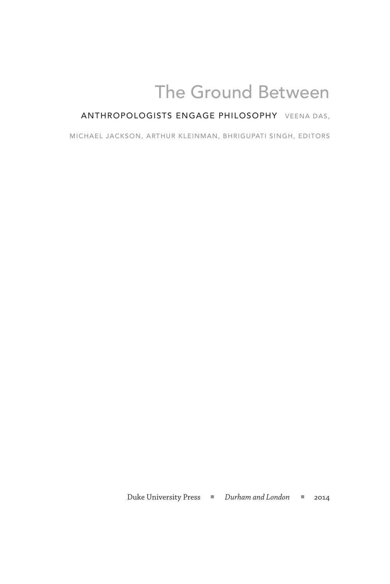## The Ground Between

## ANTHROPOLOGISTS ENGAGE PHILOSOPHY VEENA DAS,

MICHAEL JACKSON, ARTHUR KLEINMAN, BHRIGUPATI SINGH, EDITORS

Duke University Press ■ *Durham and London* ■ 2014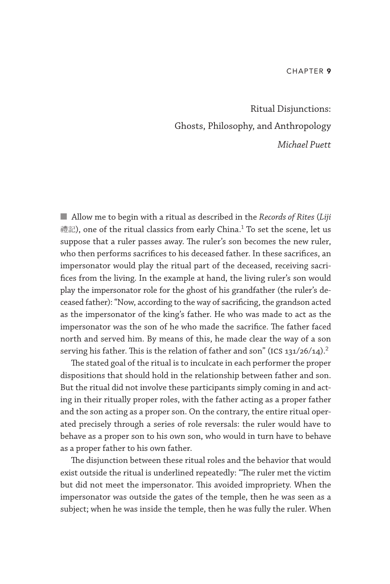Ritual Disjunctions: Ghosts, Philosophy, and Anthropology *Michael Puett*

■ Allow me to begin with a ritual as described in the *Records of Rites* (*Liji* 禮記), one of the ritual classics from early China.<sup>1</sup> To set the scene, let us suppose that a ruler passes away. The ruler's son becomes the new ruler, who then performs sacrifices to his deceased father. In these sacrifices, an impersonator would play the ritual part of the deceased, receiving sacrifices from the living. In the example at hand, the living ruler's son would play the impersonator role for the ghost of his grandfather (the ruler's deceased father): "Now, according to the way of sacrificing, the grandson acted as the impersonator of the king's father. He who was made to act as the impersonator was the son of he who made the sacrifice. The father faced north and served him. By means of this, he made clear the way of a son serving his father. This is the relation of father and son" (ICS 131/26/14).<sup>2</sup>

The stated goal of the ritual is to inculcate in each performer the proper dispositions that should hold in the relationship between father and son. But the ritual did not involve these participants simply coming in and acting in their ritually proper roles, with the father acting as a proper father and the son acting as a proper son. On the contrary, the entire ritual operated precisely through a series of role reversals: the ruler would have to behave as a proper son to his own son, who would in turn have to behave as a proper father to his own father.

The disjunction between these ritual roles and the behavior that would exist outside the ritual is underlined repeatedly: "The ruler met the victim but did not meet the impersonator. This avoided impropriety. When the impersonator was outside the gates of the temple, then he was seen as a subject; when he was inside the temple, then he was fully the ruler. When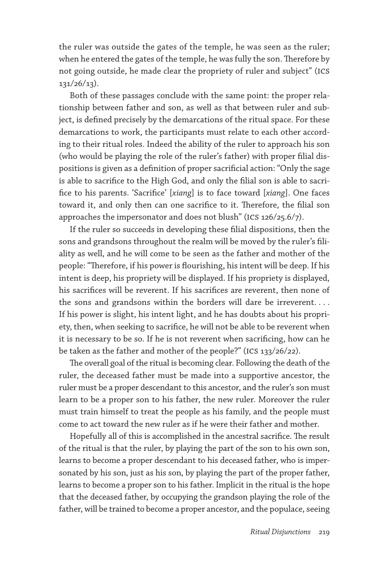the ruler was outside the gates of the temple, he was seen as the ruler; when he entered the gates of the temple, he was fully the son. Therefore by not going outside, he made clear the propriety of ruler and subject" (ics 131/26/13).

Both of these passages conclude with the same point: the proper relationship between father and son, as well as that between ruler and subject, is defined precisely by the demarcations of the ritual space. For these demarcations to work, the participants must relate to each other according to their ritual roles. Indeed the ability of the ruler to approach his son (who would be playing the role of the ruler's father) with proper filial dispositions is given as a definition of proper sacrificial action: "Only the sage is able to sacrifice to the High God, and only the filial son is able to sacrifice to his parents. 'Sacrifice' [*xiang*] is to face toward [*xiang*]. One faces toward it, and only then can one sacrifice to it. Therefore, the filial son approaches the impersonator and does not blush" (ics 126/25.6/7).

If the ruler so succeeds in developing these filial dispositions, then the sons and grandsons throughout the realm will be moved by the ruler's filiality as well, and he will come to be seen as the father and mother of the people: "Therefore, if his power is flourishing, his intent will be deep. If his intent is deep, his propriety will be displayed. If his propriety is displayed, his sacrifices will be reverent. If his sacrifices are reverent, then none of the sons and grandsons within the borders will dare be irreverent. . . . If his power is slight, his intent light, and he has doubts about his propriety, then, when seeking to sacrifice, he will not be able to be reverent when it is necessary to be so. If he is not reverent when sacrificing, how can he be taken as the father and mother of the people?" (ics 133/26/22).

The overall goal of the ritual is becoming clear. Following the death of the ruler, the deceased father must be made into a supportive ancestor, the ruler must be a proper descendant to this ancestor, and the ruler's son must learn to be a proper son to his father, the new ruler. Moreover the ruler must train himself to treat the people as his family, and the people must come to act toward the new ruler as if he were their father and mother.

Hopefully all of this is accomplished in the ancestral sacrifice. The result of the ritual is that the ruler, by playing the part of the son to his own son, learns to become a proper descendant to his deceased father, who is impersonated by his son, just as his son, by playing the part of the proper father, learns to become a proper son to his father. Implicit in the ritual is the hope that the deceased father, by occupying the grandson playing the role of the father, will be trained to become a proper ancestor, and the populace, seeing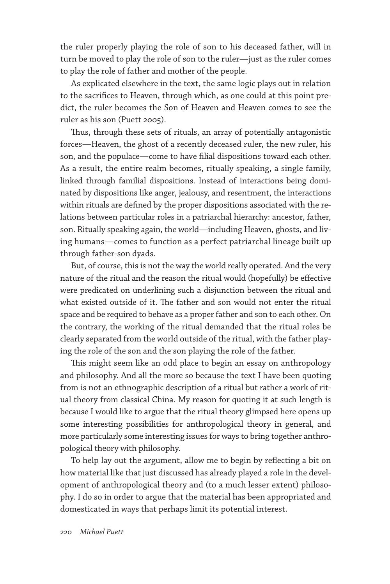the ruler properly playing the role of son to his deceased father, will in turn be moved to play the role of son to the ruler— just as the ruler comes to play the role of father and mother of the people.

As explicated elsewhere in the text, the same logic plays out in relation to the sacrifices to Heaven, through which, as one could at this point predict, the ruler becomes the Son of Heaven and Heaven comes to see the ruler as his son (Puett 2005).

Thus, through these sets of rituals, an array of potentially antagonistic forces— Heaven, the ghost of a recently deceased ruler, the new ruler, his son, and the populace—come to have filial dispositions toward each other. As a result, the entire realm becomes, ritually speaking, a single family, linked through familial dispositions. Instead of interactions being dominated by dispositions like anger, jealousy, and resentment, the interactions within rituals are defined by the proper dispositions associated with the relations between particular roles in a patriarchal hierarchy: ancestor, father, son. Ritually speaking again, the world— including Heaven, ghosts, and living humans— comes to function as a perfect patriarchal lineage built up through father-son dyads.

But, of course, this is not the way the world really operated. And the very nature of the ritual and the reason the ritual would (hopefully) be effective were predicated on underlining such a disjunction between the ritual and what existed outside of it. The father and son would not enter the ritual space and be required to behave as a proper father and son to each other. On the contrary, the working of the ritual demanded that the ritual roles be clearly separated from the world outside of the ritual, with the father playing the role of the son and the son playing the role of the father.

This might seem like an odd place to begin an essay on anthropology and philosophy. And all the more so because the text I have been quoting from is not an ethnographic description of a ritual but rather a work of ritual theory from classical China. My reason for quoting it at such length is because I would like to argue that the ritual theory glimpsed here opens up some interesting possibilities for anthropological theory in general, and more particularly some interesting issues for ways to bring together anthropological theory with philosophy.

To help lay out the argument, allow me to begin by reflecting a bit on how material like that just discussed has already played a role in the development of anthropological theory and (to a much lesser extent) philosophy. I do so in order to argue that the material has been appropriated and domesticated in ways that perhaps limit its potential interest.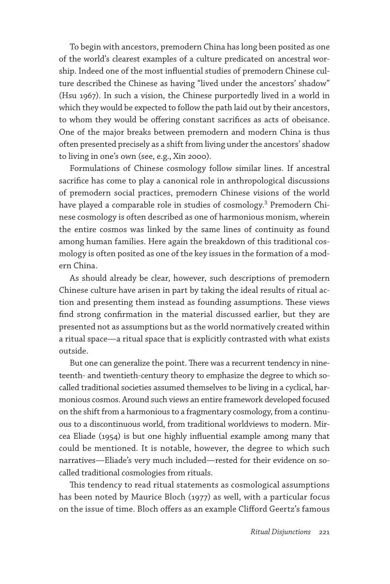To begin with ancestors, premodern China has long been posited as one of the world's clearest examples of a culture predicated on ancestral worship. Indeed one of the most influential studies of premodern Chinese culture described the Chinese as having "lived under the ancestors' shadow" (Hsu 1967). In such a vision, the Chinese purportedly lived in a world in which they would be expected to follow the path laid out by their ancestors, to whom they would be offering constant sacrifices as acts of obeisance. One of the major breaks between premodern and modern China is thus often presented precisely as a shift from living under the ancestors' shadow to living in one's own (see, e.g., Xin 2000).

Formulations of Chinese cosmology follow similar lines. If ancestral sacrifice has come to play a canonical role in anthropological discussions of premodern social practices, premodern Chinese visions of the world have played a comparable role in studies of cosmology.<sup>3</sup> Premodern Chinese cosmology is often described as one of harmonious monism, wherein the entire cosmos was linked by the same lines of continuity as found among human families. Here again the breakdown of this traditional cosmology is often posited as one of the key issues in the formation of a modern China.

As should already be clear, however, such descriptions of premodern Chinese culture have arisen in part by taking the ideal results of ritual action and presenting them instead as founding assumptions. These views find strong confirmation in the material discussed earlier, but they are presented not as assumptions but as the world normatively created within a ritual space— a ritual space that is explicitly contrasted with what exists outside.

But one can generalize the point. There was a recurrent tendency in nineteenth- and twentieth- century theory to emphasize the degree to which socalled traditional societies assumed themselves to be living in a cyclical, harmonious cosmos. Around such views an entire framework developed focused on the shift from a harmonious to a fragmentary cosmology, from a continuous to a discontinuous world, from traditional worldviews to modern. Mircea Eliade (1954) is but one highly influential example among many that could be mentioned. It is notable, however, the degree to which such narratives— Eliade's very much included— rested for their evidence on socalled traditional cosmologies from rituals.

This tendency to read ritual statements as cosmological assumptions has been noted by Maurice Bloch (1977) as well, with a particular focus on the issue of time. Bloch offers as an example Clifford Geertz's famous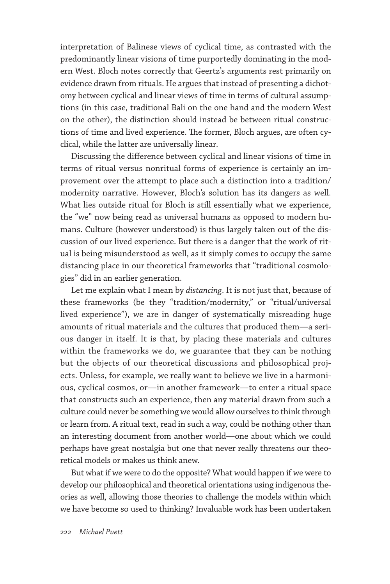interpretation of Balinese views of cyclical time, as contrasted with the predominantly linear visions of time purportedly dominating in the modern West. Bloch notes correctly that Geertz's arguments rest primarily on evidence drawn from rituals. He argues that instead of presenting a dichotomy between cyclical and linear views of time in terms of cultural assumptions (in this case, traditional Bali on the one hand and the modern West on the other), the distinction should instead be between ritual constructions of time and lived experience. The former, Bloch argues, are often cyclical, while the latter are universally linear.

Discussing the difference between cyclical and linear visions of time in terms of ritual versus nonritual forms of experience is certainly an improvement over the attempt to place such a distinction into a tradition/ modernity narrative. However, Bloch's solution has its dangers as well. What lies outside ritual for Bloch is still essentially what we experience, the "we" now being read as universal humans as opposed to modern humans. Culture (however understood) is thus largely taken out of the discussion of our lived experience. But there is a danger that the work of ritual is being misunderstood as well, as it simply comes to occupy the same distancing place in our theoretical frameworks that "traditional cosmologies" did in an earlier generation.

Let me explain what I mean by *distancing*. It is not just that, because of these frameworks (be they "tradition/modernity," or "ritual/universal lived experience"), we are in danger of systematically misreading huge amounts of ritual materials and the cultures that produced them— a serious danger in itself. It is that, by placing these materials and cultures within the frameworks we do, we guarantee that they can be nothing but the objects of our theoretical discussions and philosophical projects. Unless, for example, we really want to believe we live in a harmonious, cyclical cosmos, or— in another framework— to enter a ritual space that constructs such an experience, then any material drawn from such a culture could never be something we would allow ourselves to think through or learn from. A ritual text, read in such a way, could be nothing other than an interesting document from another world— one about which we could perhaps have great nostalgia but one that never really threatens our theoretical models or makes us think anew.

But what if we were to do the opposite? What would happen if we were to develop our philosophical and theoretical orientations using indigenous theories as well, allowing those theories to challenge the models within which we have become so used to thinking? Invaluable work has been undertaken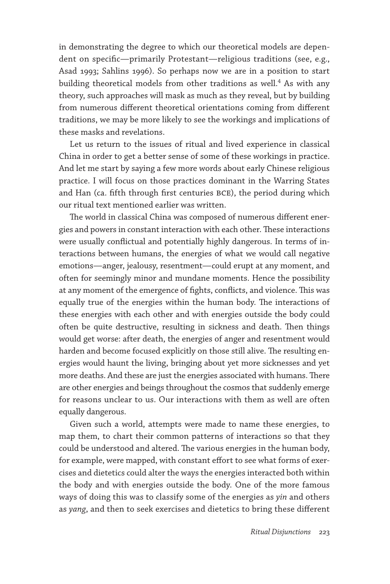in demonstrating the degree to which our theoretical models are dependent on specific—primarily Protestant—religious traditions (see, e.g., Asad 1993; Sahlins 1996). So perhaps now we are in a position to start building theoretical models from other traditions as well.<sup>4</sup> As with any theory, such approaches will mask as much as they reveal, but by building from numerous different theoretical orientations coming from different traditions, we may be more likely to see the workings and implications of these masks and revelations.

Let us return to the issues of ritual and lived experience in classical China in order to get a better sense of some of these workings in practice. And let me start by saying a few more words about early Chinese religious practice. I will focus on those practices dominant in the Warring States and Han (ca. fifth through first centuries BCE), the period during which our ritual text mentioned earlier was written.

The world in classical China was composed of numerous different energies and powers in constant interaction with each other. These interactions were usually conflictual and potentially highly dangerous. In terms of interactions between humans, the energies of what we would call negative emotions— anger, jealousy, resentment— could erupt at any moment, and often for seemingly minor and mundane moments. Hence the possibility at any moment of the emergence of fights, conflicts, and violence. This was equally true of the energies within the human body. The interactions of these energies with each other and with energies outside the body could often be quite destructive, resulting in sickness and death. Then things would get worse: after death, the energies of anger and resentment would harden and become focused explicitly on those still alive. The resulting energies would haunt the living, bringing about yet more sicknesses and yet more deaths. And these are just the energies associated with humans. There are other energies and beings throughout the cosmos that suddenly emerge for reasons unclear to us. Our interactions with them as well are often equally dangerous.

Given such a world, attempts were made to name these energies, to map them, to chart their common patterns of interactions so that they could be understood and altered. The various energies in the human body, for example, were mapped, with constant effort to see what forms of exercises and dietetics could alter the ways the energies interacted both within the body and with energies outside the body. One of the more famous ways of doing this was to classify some of the energies as *yin* and others as *yang*, and then to seek exercises and dietetics to bring these different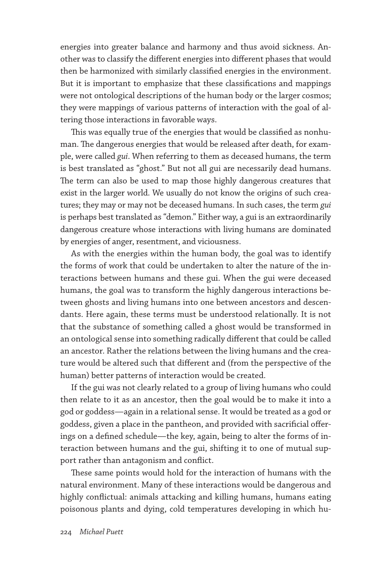energies into greater balance and harmony and thus avoid sickness. Another was to classify the different energies into different phases that would then be harmonized with similarly classified energies in the environment. But it is important to emphasize that these classifications and mappings were not ontological descriptions of the human body or the larger cosmos; they were mappings of various patterns of interaction with the goal of altering those interactions in favorable ways.

This was equally true of the energies that would be classified as nonhuman. The dangerous energies that would be released after death, for example, were called *gui*. When referring to them as deceased humans, the term is best translated as "ghost." But not all gui are necessarily dead humans. The term can also be used to map those highly dangerous creatures that exist in the larger world. We usually do not know the origins of such creatures; they may or may not be deceased humans. In such cases, the term *gui* is perhaps best translated as "demon." Either way, a gui is an extraordinarily dangerous creature whose interactions with living humans are dominated by energies of anger, resentment, and viciousness.

As with the energies within the human body, the goal was to identify the forms of work that could be undertaken to alter the nature of the interactions between humans and these gui. When the gui were deceased humans, the goal was to transform the highly dangerous interactions between ghosts and living humans into one between ancestors and descendants. Here again, these terms must be understood relationally. It is not that the substance of something called a ghost would be transformed in an ontological sense into something radically different that could be called an ancestor. Rather the relations between the living humans and the creature would be altered such that different and (from the perspective of the human) better patterns of interaction would be created.

If the gui was not clearly related to a group of living humans who could then relate to it as an ancestor, then the goal would be to make it into a god or goddess— again in a relational sense. It would be treated as a god or goddess, given a place in the pantheon, and provided with sacrificial offerings on a defined schedule—the key, again, being to alter the forms of interaction between humans and the gui, shifting it to one of mutual support rather than antagonism and conflict.

These same points would hold for the interaction of humans with the natural environment. Many of these interactions would be dangerous and highly conflictual: animals attacking and killing humans, humans eating poisonous plants and dying, cold temperatures developing in which hu-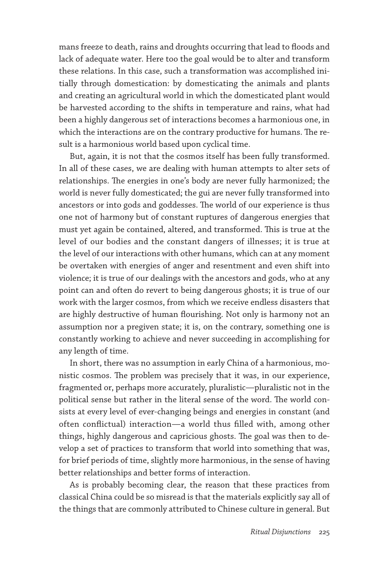mans freeze to death, rains and droughts occurring that lead to floods and lack of adequate water. Here too the goal would be to alter and transform these relations. In this case, such a transformation was accomplished initially through domestication: by domesticating the animals and plants and creating an agricultural world in which the domesticated plant would be harvested according to the shifts in temperature and rains, what had been a highly dangerous set of interactions becomes a harmonious one, in which the interactions are on the contrary productive for humans. The result is a harmonious world based upon cyclical time.

But, again, it is not that the cosmos itself has been fully transformed. In all of these cases, we are dealing with human attempts to alter sets of relationships. The energies in one's body are never fully harmonized; the world is never fully domesticated; the gui are never fully transformed into ancestors or into gods and goddesses. The world of our experience is thus one not of harmony but of constant ruptures of dangerous energies that must yet again be contained, altered, and transformed. This is true at the level of our bodies and the constant dangers of illnesses; it is true at the level of our interactions with other humans, which can at any moment be overtaken with energies of anger and resentment and even shift into violence; it is true of our dealings with the ancestors and gods, who at any point can and often do revert to being dangerous ghosts; it is true of our work with the larger cosmos, from which we receive endless disasters that are highly destructive of human flourishing. Not only is harmony not an assumption nor a pregiven state; it is, on the contrary, something one is constantly working to achieve and never succeeding in accomplishing for any length of time.

In short, there was no assumption in early China of a harmonious, monistic cosmos. The problem was precisely that it was, in our experience, fragmented or, perhaps more accurately, pluralistic— pluralistic not in the political sense but rather in the literal sense of the word. The world consists at every level of ever- changing beings and energies in constant (and often conflictual) interaction—a world thus filled with, among other things, highly dangerous and capricious ghosts. The goal was then to develop a set of practices to transform that world into something that was, for brief periods of time, slightly more harmonious, in the sense of having better relationships and better forms of interaction.

As is probably becoming clear, the reason that these practices from classical China could be so misread is that the materials explicitly say all of the things that are commonly attributed to Chinese culture in general. But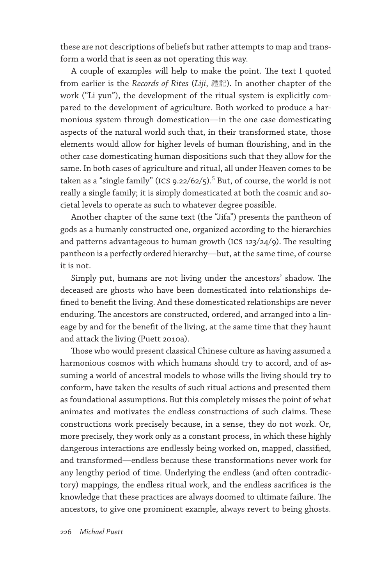these are not descriptions of beliefs but rather attempts to map and transform a world that is seen as not operating this way.

A couple of examples will help to make the point. The text I quoted from earlier is the *Records of Rites* (Liji, 禮記). In another chapter of the work ("Li yun"), the development of the ritual system is explicitly compared to the development of agriculture. Both worked to produce a harmonious system through domestication— in the one case domesticating aspects of the natural world such that, in their transformed state, those elements would allow for higher levels of human flourishing, and in the other case domesticating human dispositions such that they allow for the same. In both cases of agriculture and ritual, all under Heaven comes to be taken as a "single family" (ICS 9.22/62/5).<sup>5</sup> But, of course, the world is not really a single family; it is simply domesticated at both the cosmic and societal levels to operate as such to whatever degree possible.

Another chapter of the same text (the "Jifa") presents the pantheon of gods as a humanly constructed one, organized according to the hierarchies and patterns advantageous to human growth (ICS  $123/24/9$ ). The resulting pantheon is a perfectly ordered hierarchy— but, at the same time, of course it is not.

Simply put, humans are not living under the ancestors' shadow. The deceased are ghosts who have been domesticated into relationships defined to benefit the living. And these domesticated relationships are never enduring. The ancestors are constructed, ordered, and arranged into a lineage by and for the benefit of the living, at the same time that they haunt and attack the living (Puett 2010a).

Those who would present classical Chinese culture as having assumed a harmonious cosmos with which humans should try to accord, and of assuming a world of ancestral models to whose wills the living should try to conform, have taken the results of such ritual actions and presented them as foundational assumptions. But this completely misses the point of what animates and motivates the endless constructions of such claims. These constructions work precisely because, in a sense, they do not work. Or, more precisely, they work only as a constant process, in which these highly dangerous interactions are endlessly being worked on, mapped, classified, and transformed— endless because these transformations never work for any lengthy period of time. Underlying the endless (and often contradictory) mappings, the endless ritual work, and the endless sacrifices is the knowledge that these practices are always doomed to ultimate failure. The ancestors, to give one prominent example, always revert to being ghosts.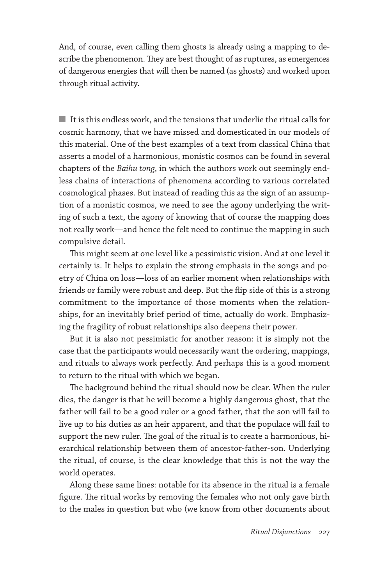And, of course, even calling them ghosts is already using a mapping to describe the phenomenon. They are best thought of as ruptures, as emergences of dangerous energies that will then be named (as ghosts) and worked upon through ritual activity.

■ It is this endless work, and the tensions that underlie the ritual calls for cosmic harmony, that we have missed and domesticated in our models of this material. One of the best examples of a text from classical China that asserts a model of a harmonious, monistic cosmos can be found in several chapters of the *Baihu tong*, in which the authors work out seemingly endless chains of interactions of phenomena according to various correlated cosmological phases. But instead of reading this as the sign of an assumption of a monistic cosmos, we need to see the agony underlying the writing of such a text, the agony of knowing that of course the mapping does not really work— and hence the felt need to continue the mapping in such compulsive detail.

This might seem at one level like a pessimistic vision. And at one level it certainly is. It helps to explain the strong emphasis in the songs and poetry of China on loss— loss of an earlier moment when relationships with friends or family were robust and deep. But the flip side of this is a strong commitment to the importance of those moments when the relationships, for an inevitably brief period of time, actually do work. Emphasizing the fragility of robust relationships also deepens their power.

But it is also not pessimistic for another reason: it is simply not the case that the participants would necessarily want the ordering, mappings, and rituals to always work perfectly. And perhaps this is a good moment to return to the ritual with which we began.

The background behind the ritual should now be clear. When the ruler dies, the danger is that he will become a highly dangerous ghost, that the father will fail to be a good ruler or a good father, that the son will fail to live up to his duties as an heir apparent, and that the populace will fail to support the new ruler. The goal of the ritual is to create a harmonious, hierarchical relationship between them of ancestor-father-son. Underlying the ritual, of course, is the clear knowledge that this is not the way the world operates.

Along these same lines: notable for its absence in the ritual is a female figure. The ritual works by removing the females who not only gave birth to the males in question but who (we know from other documents about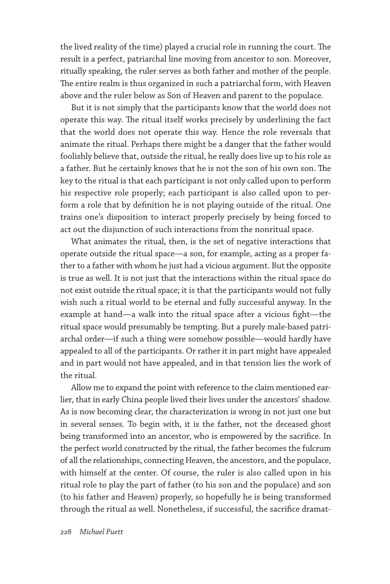the lived reality of the time) played a crucial role in running the court. The result is a perfect, patriarchal line moving from ancestor to son. Moreover, ritually speaking, the ruler serves as both father and mother of the people. The entire realm is thus organized in such a patriarchal form, with Heaven above and the ruler below as Son of Heaven and parent to the populace.

But it is not simply that the participants know that the world does not operate this way. The ritual itself works precisely by underlining the fact that the world does not operate this way. Hence the role reversals that animate the ritual. Perhaps there might be a danger that the father would foolishly believe that, outside the ritual, he really does live up to his role as a father. But he certainly knows that he is not the son of his own son. The key to the ritual is that each participant is not only called upon to perform his respective role properly; each participant is also called upon to perform a role that by definition he is not playing outside of the ritual. One trains one's disposition to interact properly precisely by being forced to act out the disjunction of such interactions from the nonritual space.

What animates the ritual, then, is the set of negative interactions that operate outside the ritual space— a son, for example, acting as a proper father to a father with whom he just had a vicious argument. But the opposite is true as well. It is not just that the interactions within the ritual space do not exist outside the ritual space; it is that the participants would not fully wish such a ritual world to be eternal and fully successful anyway. In the example at hand—a walk into the ritual space after a vicious fight—the ritual space would presumably be tempting. But a purely male- based patriarchal order— if such a thing were somehow possible— would hardly have appealed to all of the participants. Or rather it in part might have appealed and in part would not have appealed, and in that tension lies the work of the ritual.

Allow me to expand the point with reference to the claim mentioned earlier, that in early China people lived their lives under the ancestors' shadow. As is now becoming clear, the characterization is wrong in not just one but in several senses. To begin with, it is the father, not the deceased ghost being transformed into an ancestor, who is empowered by the sacrifice. In the perfect world constructed by the ritual, the father becomes the fulcrum of all the relationships, connecting Heaven, the ancestors, and the populace, with himself at the center. Of course, the ruler is also called upon in his ritual role to play the part of father (to his son and the populace) and son (to his father and Heaven) properly, so hopefully he is being transformed through the ritual as well. Nonetheless, if successful, the sacrifice dramat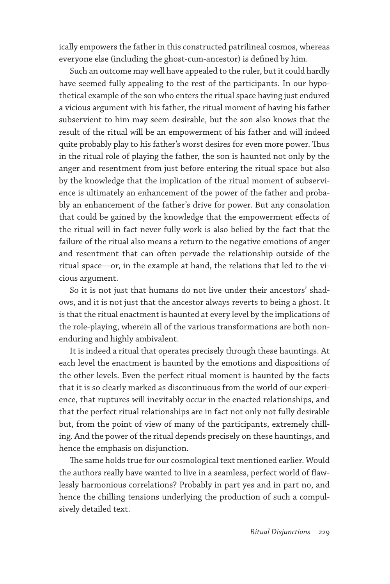ically empowers the father in this constructed patrilineal cosmos, whereas everyone else (including the ghost-cum-ancestor) is defined by him.

Such an outcome may well have appealed to the ruler, but it could hardly have seemed fully appealing to the rest of the participants. In our hypothetical example of the son who enters the ritual space having just endured a vicious argument with his father, the ritual moment of having his father subservient to him may seem desirable, but the son also knows that the result of the ritual will be an empowerment of his father and will indeed quite probably play to his father's worst desires for even more power. Thus in the ritual role of playing the father, the son is haunted not only by the anger and resentment from just before entering the ritual space but also by the knowledge that the implication of the ritual moment of subservience is ultimately an enhancement of the power of the father and probably an enhancement of the father's drive for power. But any consolation that could be gained by the knowledge that the empowerment effects of the ritual will in fact never fully work is also belied by the fact that the failure of the ritual also means a return to the negative emotions of anger and resentment that can often pervade the relationship outside of the ritual space— or, in the example at hand, the relations that led to the vicious argument.

So it is not just that humans do not live under their ancestors' shadows, and it is not just that the ancestor always reverts to being a ghost. It is that the ritual enactment is haunted at every level by the implications of the role-playing, wherein all of the various transformations are both nonenduring and highly ambivalent.

It is indeed a ritual that operates precisely through these hauntings. At each level the enactment is haunted by the emotions and dispositions of the other levels. Even the perfect ritual moment is haunted by the facts that it is so clearly marked as discontinuous from the world of our experience, that ruptures will inevitably occur in the enacted relationships, and that the perfect ritual relationships are in fact not only not fully desirable but, from the point of view of many of the participants, extremely chilling. And the power of the ritual depends precisely on these hauntings, and hence the emphasis on disjunction.

The same holds true for our cosmological text mentioned earlier. Would the authors really have wanted to live in a seamless, perfect world of flawlessly harmonious correlations? Probably in part yes and in part no, and hence the chilling tensions underlying the production of such a compulsively detailed text.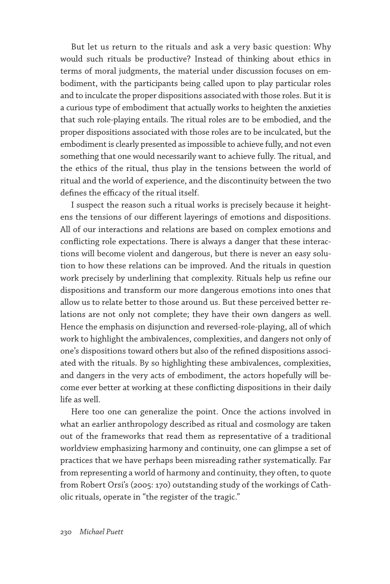But let us return to the rituals and ask a very basic question: Why would such rituals be productive? Instead of thinking about ethics in terms of moral judgments, the material under discussion focuses on embodiment, with the participants being called upon to play particular roles and to inculcate the proper dispositions associated with those roles. But it is a curious type of embodiment that actually works to heighten the anxieties that such role-playing entails. The ritual roles are to be embodied, and the proper dispositions associated with those roles are to be inculcated, but the embodiment is clearly presented as impossible to achieve fully, and not even something that one would necessarily want to achieve fully. The ritual, and the ethics of the ritual, thus play in the tensions between the world of ritual and the world of experience, and the discontinuity between the two defines the efficacy of the ritual itself.

I suspect the reason such a ritual works is precisely because it heightens the tensions of our different layerings of emotions and dispositions. All of our interactions and relations are based on complex emotions and conflicting role expectations. There is always a danger that these interactions will become violent and dangerous, but there is never an easy solution to how these relations can be improved. And the rituals in question work precisely by underlining that complexity. Rituals help us refine our dispositions and transform our more dangerous emotions into ones that allow us to relate better to those around us. But these perceived better relations are not only not complete; they have their own dangers as well. Hence the emphasis on disjunction and reversed-role-playing, all of which work to highlight the ambivalences, complexities, and dangers not only of one's dispositions toward others but also of the refined dispositions associated with the rituals. By so highlighting these ambivalences, complexities, and dangers in the very acts of embodiment, the actors hopefully will become ever better at working at these conflicting dispositions in their daily life as well.

Here too one can generalize the point. Once the actions involved in what an earlier anthropology described as ritual and cosmology are taken out of the frameworks that read them as representative of a traditional worldview emphasizing harmony and continuity, one can glimpse a set of practices that we have perhaps been misreading rather systematically. Far from representing a world of harmony and continuity, they often, to quote from Robert Orsi's (2005: 170) outstanding study of the workings of Catholic rituals, operate in "the register of the tragic."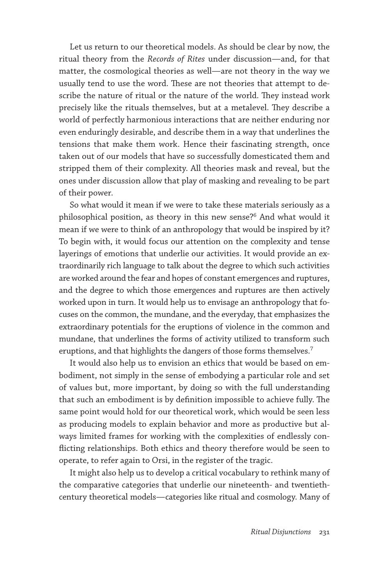Let us return to our theoretical models. As should be clear by now, the ritual theory from the *Records of Rites* under discussion—and, for that matter, the cosmological theories as well— are not theory in the way we usually tend to use the word. These are not theories that attempt to describe the nature of ritual or the nature of the world. They instead work precisely like the rituals themselves, but at a metalevel. They describe a world of perfectly harmonious interactions that are neither enduring nor even enduringly desirable, and describe them in a way that underlines the tensions that make them work. Hence their fascinating strength, once taken out of our models that have so successfully domesticated them and stripped them of their complexity. All theories mask and reveal, but the ones under discussion allow that play of masking and revealing to be part of their power.

So what would it mean if we were to take these materials seriously as a philosophical position, as theory in this new sense?6 And what would it mean if we were to think of an anthropology that would be inspired by it? To begin with, it would focus our attention on the complexity and tense layerings of emotions that underlie our activities. It would provide an extraordinarily rich language to talk about the degree to which such activities are worked around the fear and hopes of constant emergences and ruptures, and the degree to which those emergences and ruptures are then actively worked upon in turn. It would help us to envisage an anthropology that focuses on the common, the mundane, and the everyday, that emphasizes the extraordinary potentials for the eruptions of violence in the common and mundane, that underlines the forms of activity utilized to transform such eruptions, and that highlights the dangers of those forms themselves.<sup>7</sup>

It would also help us to envision an ethics that would be based on embodiment, not simply in the sense of embodying a particular role and set of values but, more important, by doing so with the full understanding that such an embodiment is by definition impossible to achieve fully. The same point would hold for our theoretical work, which would be seen less as producing models to explain behavior and more as productive but always limited frames for working with the complexities of endlessly conflicting relationships. Both ethics and theory therefore would be seen to operate, to refer again to Orsi, in the register of the tragic.

It might also help us to develop a critical vocabulary to rethink many of the comparative categories that underlie our nineteenth- and twentiethcentury theoretical models— categories like ritual and cosmology. Many of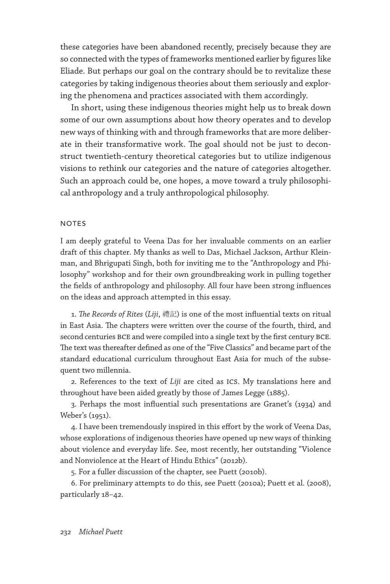these categories have been abandoned recently, precisely because they are so connected with the types of frameworks mentioned earlier by figures like Eliade. But perhaps our goal on the contrary should be to revitalize these categories by taking indigenous theories about them seriously and exploring the phenomena and practices associated with them accordingly.

In short, using these indigenous theories might help us to break down some of our own assumptions about how theory operates and to develop new ways of thinking with and through frameworks that are more deliberate in their transformative work. The goal should not be just to deconstruct twentieth- century theoretical categories but to utilize indigenous visions to rethink our categories and the nature of categories altogether. Such an approach could be, one hopes, a move toward a truly philosophical anthropology and a truly anthropological philosophy.

## NOTES

I am deeply grateful to Veena Das for her invaluable comments on an earlier draft of this chapter. My thanks as well to Das, Michael Jackson, Arthur Kleinman, and Bhrigupati Singh, both for inviting me to the "Anthropology and Philosophy" workshop and for their own groundbreaking work in pulling together the fields of anthropology and philosophy. All four have been strong influences on the ideas and approach attempted in this essay.

1. *The Records of Rites* (Liji, 禮記) is one of the most influential texts on ritual in East Asia. The chapters were written over the course of the fourth, third, and second centuries BCE and were compiled into a single text by the first century BCE. The text was thereafter defined as one of the "Five Classics" and became part of the standard educational curriculum throughout East Asia for much of the subsequent two millennia.

2. References to the text of *Liji* are cited as ics. My translations here and throughout have been aided greatly by those of James Legge (1885).

3. Perhaps the most influential such presentations are Granet's (1934) and Weber's (1951).

4. I have been tremendously inspired in this effort by the work of Veena Das, whose explorations of indigenous theories have opened up new ways of thinking about violence and everyday life. See, most recently, her outstanding "Violence and Nonviolence at the Heart of Hindu Ethics" (2012b).

5. For a fuller discussion of the chapter, see Puett (2010b).

6. For preliminary attempts to do this, see Puett (2010a); Puett et al. (2008), particularly 18-42.